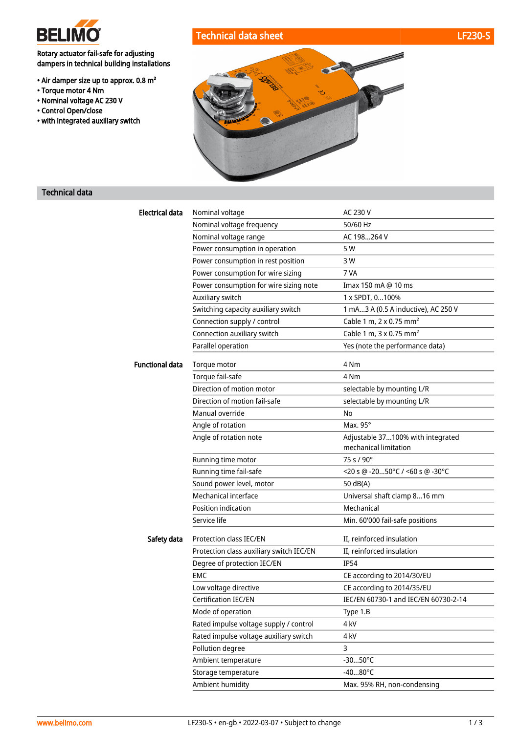

Rotary actuator fail-safe for adjusting dampers in technical building installations

- Air damper size up to approx. 0.8 m²
- Torque motor 4 Nm
- Nominal voltage AC 230 V
- Control Open/close
- with integrated auxiliary switch





## Technical data

| <b>Electrical data</b> | Nominal voltage                          | AC 230 V                                                   |
|------------------------|------------------------------------------|------------------------------------------------------------|
|                        | Nominal voltage frequency                | 50/60 Hz                                                   |
|                        | Nominal voltage range                    | AC 198264 V                                                |
|                        | Power consumption in operation           | 5 W                                                        |
|                        | Power consumption in rest position       | 3 W                                                        |
|                        | Power consumption for wire sizing        | 7 VA                                                       |
|                        | Power consumption for wire sizing note   | Imax 150 mA @ 10 ms                                        |
|                        | Auxiliary switch                         | 1 x SPDT, 0100%                                            |
|                        | Switching capacity auxiliary switch      | 1 mA3 A (0.5 A inductive), AC 250 V                        |
|                        | Connection supply / control              | Cable 1 m, 2 x 0.75 mm <sup>2</sup>                        |
|                        | Connection auxiliary switch              | Cable 1 m, 3 x 0.75 mm <sup>2</sup>                        |
|                        | Parallel operation                       | Yes (note the performance data)                            |
| <b>Functional data</b> | Torque motor                             | 4 Nm                                                       |
|                        | Torque fail-safe                         | 4 Nm                                                       |
|                        | Direction of motion motor                | selectable by mounting L/R                                 |
|                        | Direction of motion fail-safe            | selectable by mounting L/R                                 |
|                        | Manual override                          | No                                                         |
|                        | Angle of rotation                        | Max. $95^\circ$                                            |
|                        | Angle of rotation note                   | Adjustable 37100% with integrated<br>mechanical limitation |
|                        | Running time motor                       | 75 s / 90°                                                 |
|                        | Running time fail-safe                   | $<$ 20 s @ -2050°C / <60 s @ -30°C                         |
|                        | Sound power level, motor                 | 50 dB(A)                                                   |
|                        | Mechanical interface                     | Universal shaft clamp 816 mm                               |
|                        | Position indication                      | Mechanical                                                 |
|                        | Service life                             | Min. 60'000 fail-safe positions                            |
| Safety data            | Protection class IEC/EN                  | II, reinforced insulation                                  |
|                        | Protection class auxiliary switch IEC/EN | II, reinforced insulation                                  |
|                        | Degree of protection IEC/EN              | <b>IP54</b>                                                |
|                        | <b>EMC</b>                               | CE according to 2014/30/EU                                 |
|                        | Low voltage directive                    | CE according to 2014/35/EU                                 |
|                        | Certification IEC/EN                     | IEC/EN 60730-1 and IEC/EN 60730-2-14                       |
|                        | Mode of operation                        | Type 1.B                                                   |
|                        | Rated impulse voltage supply / control   | 4 kV                                                       |
|                        | Rated impulse voltage auxiliary switch   | 4 kV                                                       |
|                        | Pollution degree                         | 3                                                          |
|                        | Ambient temperature                      | $-3050^{\circ}$ C                                          |
|                        | Storage temperature                      | $-4080^{\circ}$ C                                          |
|                        | Ambient humidity                         | Max. 95% RH, non-condensing                                |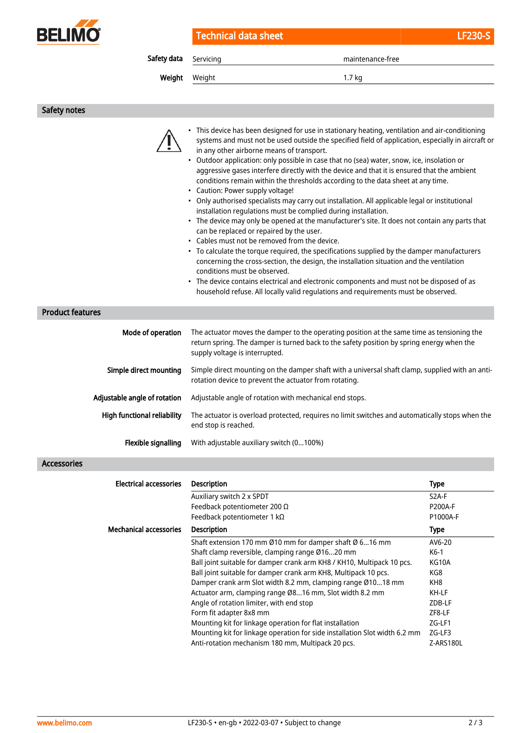

Technical data sheet LF230-S

Safety data Servicing maintenance-free

Weight Weight 1.7 kg

Safety notes

|                               | • This device has been designed for use in stationary heating, ventilation and air-conditioning<br>systems and must not be used outside the specified field of application, especially in aircraft or<br>in any other airborne means of transport.<br>• Outdoor application: only possible in case that no (sea) water, snow, ice, insolation or<br>aggressive gases interfere directly with the device and that it is ensured that the ambient<br>conditions remain within the thresholds according to the data sheet at any time.<br>• Caution: Power supply voltage!<br>• Only authorised specialists may carry out installation. All applicable legal or institutional<br>installation regulations must be complied during installation.<br>• The device may only be opened at the manufacturer's site. It does not contain any parts that<br>can be replaced or repaired by the user.<br>• Cables must not be removed from the device.<br>• To calculate the torque required, the specifications supplied by the damper manufacturers<br>concerning the cross-section, the design, the installation situation and the ventilation<br>conditions must be observed.<br>• The device contains electrical and electronic components and must not be disposed of as<br>household refuse. All locally valid regulations and requirements must be observed. |                    |  |
|-------------------------------|-----------------------------------------------------------------------------------------------------------------------------------------------------------------------------------------------------------------------------------------------------------------------------------------------------------------------------------------------------------------------------------------------------------------------------------------------------------------------------------------------------------------------------------------------------------------------------------------------------------------------------------------------------------------------------------------------------------------------------------------------------------------------------------------------------------------------------------------------------------------------------------------------------------------------------------------------------------------------------------------------------------------------------------------------------------------------------------------------------------------------------------------------------------------------------------------------------------------------------------------------------------------------------------------------------------------------------------------------------------|--------------------|--|
| <b>Product features</b>       |                                                                                                                                                                                                                                                                                                                                                                                                                                                                                                                                                                                                                                                                                                                                                                                                                                                                                                                                                                                                                                                                                                                                                                                                                                                                                                                                                           |                    |  |
| Mode of operation             | The actuator moves the damper to the operating position at the same time as tensioning the<br>return spring. The damper is turned back to the safety position by spring energy when the<br>supply voltage is interrupted.                                                                                                                                                                                                                                                                                                                                                                                                                                                                                                                                                                                                                                                                                                                                                                                                                                                                                                                                                                                                                                                                                                                                 |                    |  |
| Simple direct mounting        | Simple direct mounting on the damper shaft with a universal shaft clamp, supplied with an anti-<br>rotation device to prevent the actuator from rotating.                                                                                                                                                                                                                                                                                                                                                                                                                                                                                                                                                                                                                                                                                                                                                                                                                                                                                                                                                                                                                                                                                                                                                                                                 |                    |  |
| Adjustable angle of rotation  | Adjustable angle of rotation with mechanical end stops.                                                                                                                                                                                                                                                                                                                                                                                                                                                                                                                                                                                                                                                                                                                                                                                                                                                                                                                                                                                                                                                                                                                                                                                                                                                                                                   |                    |  |
| High functional reliability   | The actuator is overload protected, requires no limit switches and automatically stops when the<br>end stop is reached.                                                                                                                                                                                                                                                                                                                                                                                                                                                                                                                                                                                                                                                                                                                                                                                                                                                                                                                                                                                                                                                                                                                                                                                                                                   |                    |  |
| Flexible signalling           | With adjustable auxiliary switch (0100%)                                                                                                                                                                                                                                                                                                                                                                                                                                                                                                                                                                                                                                                                                                                                                                                                                                                                                                                                                                                                                                                                                                                                                                                                                                                                                                                  |                    |  |
| <b>Accessories</b>            |                                                                                                                                                                                                                                                                                                                                                                                                                                                                                                                                                                                                                                                                                                                                                                                                                                                                                                                                                                                                                                                                                                                                                                                                                                                                                                                                                           |                    |  |
|                               |                                                                                                                                                                                                                                                                                                                                                                                                                                                                                                                                                                                                                                                                                                                                                                                                                                                                                                                                                                                                                                                                                                                                                                                                                                                                                                                                                           |                    |  |
| <b>Electrical accessories</b> | <b>Description</b>                                                                                                                                                                                                                                                                                                                                                                                                                                                                                                                                                                                                                                                                                                                                                                                                                                                                                                                                                                                                                                                                                                                                                                                                                                                                                                                                        | <b>Type</b>        |  |
|                               | Auxiliary switch 2 x SPDT                                                                                                                                                                                                                                                                                                                                                                                                                                                                                                                                                                                                                                                                                                                                                                                                                                                                                                                                                                                                                                                                                                                                                                                                                                                                                                                                 | S <sub>2</sub> A-F |  |
|                               | Feedback potentiometer 200 $\Omega$                                                                                                                                                                                                                                                                                                                                                                                                                                                                                                                                                                                                                                                                                                                                                                                                                                                                                                                                                                                                                                                                                                                                                                                                                                                                                                                       | P200A-F            |  |
|                               | Feedback potentiometer 1 kΩ                                                                                                                                                                                                                                                                                                                                                                                                                                                                                                                                                                                                                                                                                                                                                                                                                                                                                                                                                                                                                                                                                                                                                                                                                                                                                                                               | P1000A-F           |  |
| <b>Mechanical accessories</b> | Description                                                                                                                                                                                                                                                                                                                                                                                                                                                                                                                                                                                                                                                                                                                                                                                                                                                                                                                                                                                                                                                                                                                                                                                                                                                                                                                                               | <b>Type</b>        |  |
|                               | Shaft extension 170 mm Ø10 mm for damper shaft Ø 616 mm                                                                                                                                                                                                                                                                                                                                                                                                                                                                                                                                                                                                                                                                                                                                                                                                                                                                                                                                                                                                                                                                                                                                                                                                                                                                                                   | AV6-20             |  |
|                               | Shaft clamp reversible, clamping range Ø1620 mm                                                                                                                                                                                                                                                                                                                                                                                                                                                                                                                                                                                                                                                                                                                                                                                                                                                                                                                                                                                                                                                                                                                                                                                                                                                                                                           | K6-1               |  |
|                               | Ball joint suitable for damper crank arm KH8 / KH10, Multipack 10 pcs.                                                                                                                                                                                                                                                                                                                                                                                                                                                                                                                                                                                                                                                                                                                                                                                                                                                                                                                                                                                                                                                                                                                                                                                                                                                                                    | KG10A              |  |
|                               | Ball joint suitable for damper crank arm KH8, Multipack 10 pcs.                                                                                                                                                                                                                                                                                                                                                                                                                                                                                                                                                                                                                                                                                                                                                                                                                                                                                                                                                                                                                                                                                                                                                                                                                                                                                           | KG8                |  |
|                               | Damper crank arm Slot width 8.2 mm, clamping range Ø1018 mm                                                                                                                                                                                                                                                                                                                                                                                                                                                                                                                                                                                                                                                                                                                                                                                                                                                                                                                                                                                                                                                                                                                                                                                                                                                                                               | KH8                |  |
|                               | Actuator arm, clamping range Ø816 mm, Slot width 8.2 mm                                                                                                                                                                                                                                                                                                                                                                                                                                                                                                                                                                                                                                                                                                                                                                                                                                                                                                                                                                                                                                                                                                                                                                                                                                                                                                   | KH-LF              |  |
|                               | Angle of rotation limiter, with end stop                                                                                                                                                                                                                                                                                                                                                                                                                                                                                                                                                                                                                                                                                                                                                                                                                                                                                                                                                                                                                                                                                                                                                                                                                                                                                                                  | ZDB-LF             |  |
|                               | Form fit adapter 8x8 mm                                                                                                                                                                                                                                                                                                                                                                                                                                                                                                                                                                                                                                                                                                                                                                                                                                                                                                                                                                                                                                                                                                                                                                                                                                                                                                                                   | ZF8-LF             |  |
|                               | Mounting kit for linkage operation for flat installation                                                                                                                                                                                                                                                                                                                                                                                                                                                                                                                                                                                                                                                                                                                                                                                                                                                                                                                                                                                                                                                                                                                                                                                                                                                                                                  | ZG-LF1             |  |
|                               | Mounting kit for linkage operation for side installation Slot width 6.2 mm                                                                                                                                                                                                                                                                                                                                                                                                                                                                                                                                                                                                                                                                                                                                                                                                                                                                                                                                                                                                                                                                                                                                                                                                                                                                                | ZG-LF3             |  |
|                               | Anti-rotation mechanism 180 mm, Multipack 20 pcs.                                                                                                                                                                                                                                                                                                                                                                                                                                                                                                                                                                                                                                                                                                                                                                                                                                                                                                                                                                                                                                                                                                                                                                                                                                                                                                         | Z-ARS180L          |  |